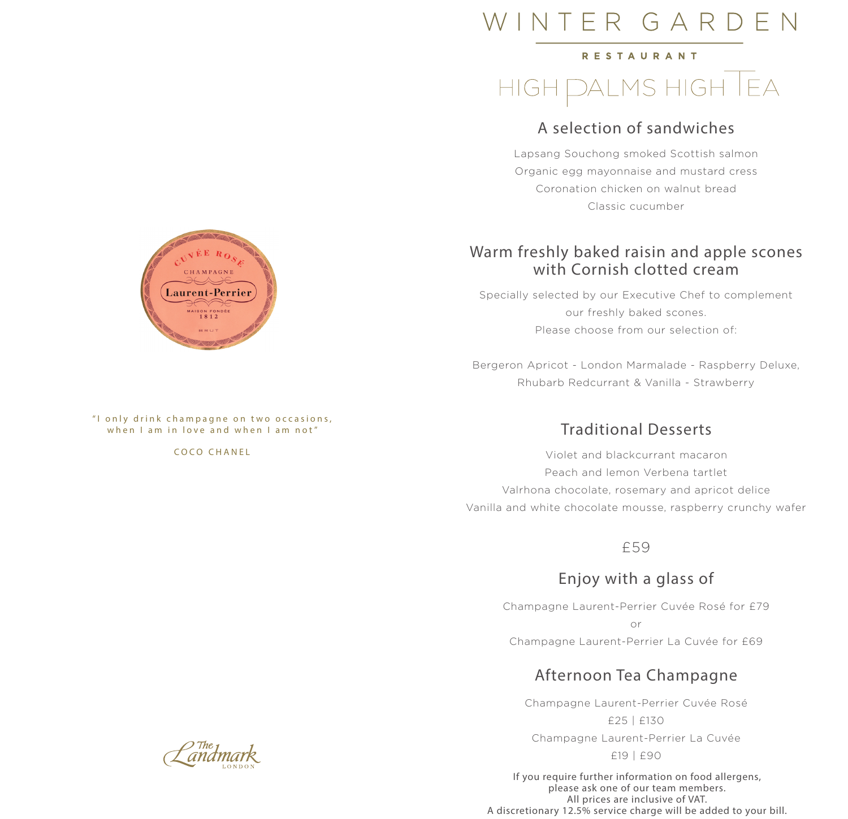# VTER GARDEN

#### RESTAURANT

### DALMS HIGH | EA HIGH.

### A selection of sandwiches

Lapsang Souchong smoked Scottish salmon Organic egg mayonnaise and mustard cress Coronation chicken on walnut bread Classic cucumber

### Warm freshly baked raisin and apple scones with Cornish clotted cream

Specially selected by our Executive Chef to complement our freshly baked scones. Please choose from our selection of:

Bergeron Apricot - London Marmalade - Raspberry Deluxe, Rhubarb Redcurrant & Vanilla - Strawberry

### Traditional Desserts

Violet and blackcurrant macaron Peach and lemon Verbena tartlet Valrhona chocolate, rosemary and apricot delice Vanilla and white chocolate mousse, raspberry crunchy wafer

£59

### Enjoy with a glass of

Champagne Laurent-Perrier Cuvée Rosé for £79 or Champagne Laurent-Perrier La Cuvée for £69

### Afternoon Tea Champagne

Champagne Laurent-Perrier Cuvée Rosé £25 | £130 Champagne Laurent-Perrier La Cuvée

£19 | £90

If you require further information on food allergens, please ask one of our team members. All prices are inclusive of VAT. A discretionary 12.5% service charge will be added to your bill.



"I only drink champagne on two occasions, when I am in love and when I am not"

#### COCO CHANEL